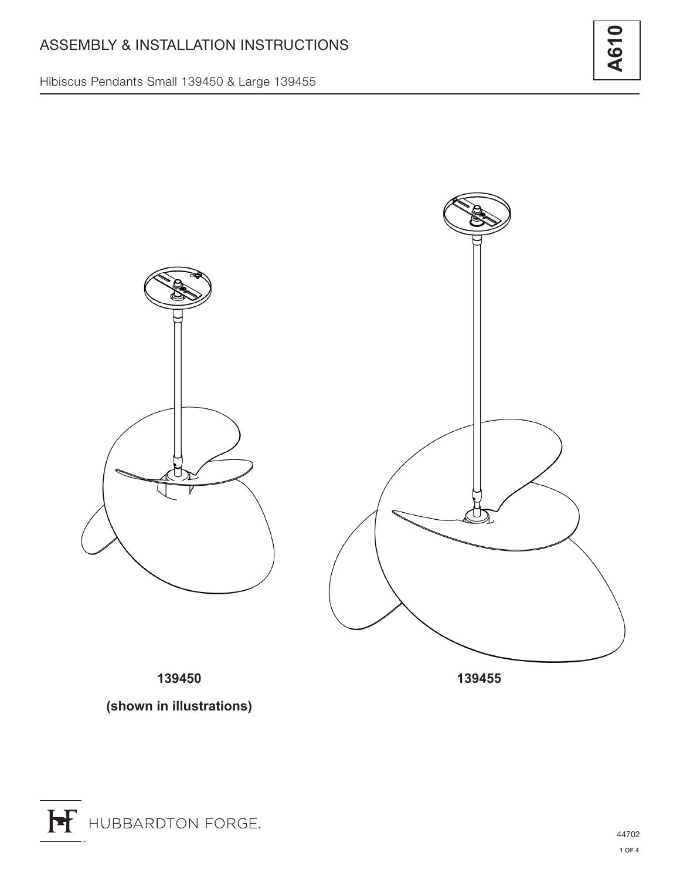Hibiscus Pendants Small 139450 & Large 139455



**139450**

**139455**

**(shown in illustrations)**

**A610**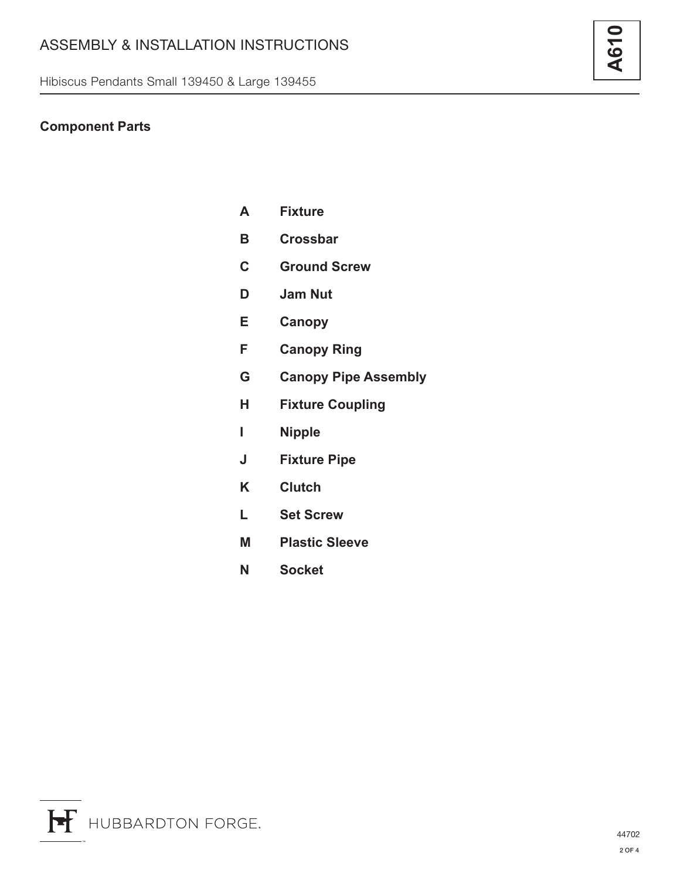Hibiscus Pendants Small 139450 & Large 139455

## **Component Parts**

| A | <b>Fixture</b>  |
|---|-----------------|
| В | <b>Crossbar</b> |

- **C Ground Screw**
- **D Jam Nut**
- **E Canopy**
- **F Canopy Ring**
- **G Canopy Pipe Assembly**
- **H Fixture Coupling**
- **I Nipple**
- **J Fixture Pipe**
- **K Clutch**
- **L Set Screw**
- **M Plastic Sleeve**
- **N Socket**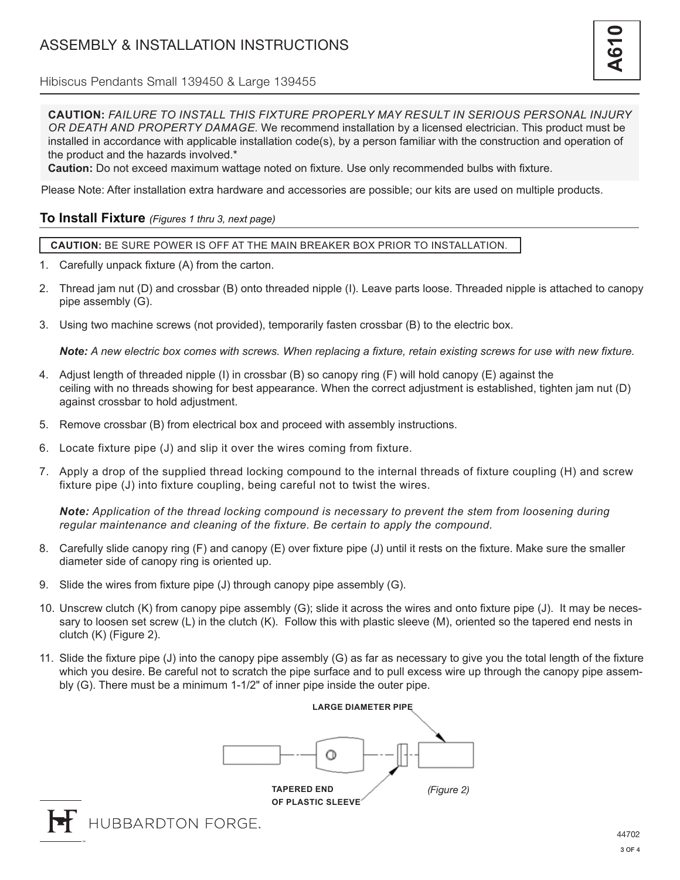Hibiscus Pendants Small 139450 & Large 139455

**CAUTION:** *FAILURE TO INSTALL THIS FIXTURE PROPERLY MAY RESULT IN SERIOUS PERSONAL INJURY OR DEATH AND PROPERTY DAMAGE.* We recommend installation by a licensed electrician. This product must be installed in accordance with applicable installation code(s), by a person familiar with the construction and operation of the product and the hazards involved.\*

**Caution:** Do not exceed maximum wattage noted on fixture. Use only recommended bulbs with fixture.

Please Note: After installation extra hardware and accessories are possible; our kits are used on multiple products.

## **To Install Fixture** *(Figures 1 thru 3, next page)*

**CAUTION:** BE SURE POWER IS OFF AT THE MAIN BREAKER BOX PRIOR TO INSTALLATION.

- 1. Carefully unpack fixture (A) from the carton.
- 2. Thread jam nut (D) and crossbar (B) onto threaded nipple (I). Leave parts loose. Threaded nipple is attached to canopy pipe assembly (G).
- 3. Using two machine screws (not provided), temporarily fasten crossbar (B) to the electric box.

*Note: A new electric box comes with screws. When replacing a fixture, retain existing screws for use with new fixture.*

- 4. Adjust length of threaded nipple (I) in crossbar (B) so canopy ring (F) will hold canopy (E) against the ceiling with no threads showing for best appearance. When the correct adjustment is established, tighten jam nut (D) against crossbar to hold adjustment.
- 5. Remove crossbar (B) from electrical box and proceed with assembly instructions.
- 6. Locate fixture pipe (J) and slip it over the wires coming from fixture.
- 7. Apply a drop of the supplied thread locking compound to the internal threads of fixture coupling (H) and screw fixture pipe (J) into fixture coupling, being careful not to twist the wires.

*Note: Application of the thread locking compound is necessary to prevent the stem from loosening during regular maintenance and cleaning of the fixture. Be certain to apply the compound.*

- 8. Carefully slide canopy ring (F) and canopy (E) over fixture pipe (J) until it rests on the fixture. Make sure the smaller diameter side of canopy ring is oriented up.
- 9. Slide the wires from fixture pipe (J) through canopy pipe assembly (G).
- 10. Unscrew clutch (K) from canopy pipe assembly (G); slide it across the wires and onto fixture pipe (J). It may be necessary to loosen set screw (L) in the clutch (K). Follow this with plastic sleeve (M), oriented so the tapered end nests in clutch (K) (Figure 2).
- 11. Slide the fixture pipe (J) into the canopy pipe assembly (G) as far as necessary to give you the total length of the fixture which you desire. Be careful not to scratch the pipe surface and to pull excess wire up through the canopy pipe assembly (G). There must be a minimum 1-1/2" of inner pipe inside the outer pipe.



HUBBARDTON FORGE.